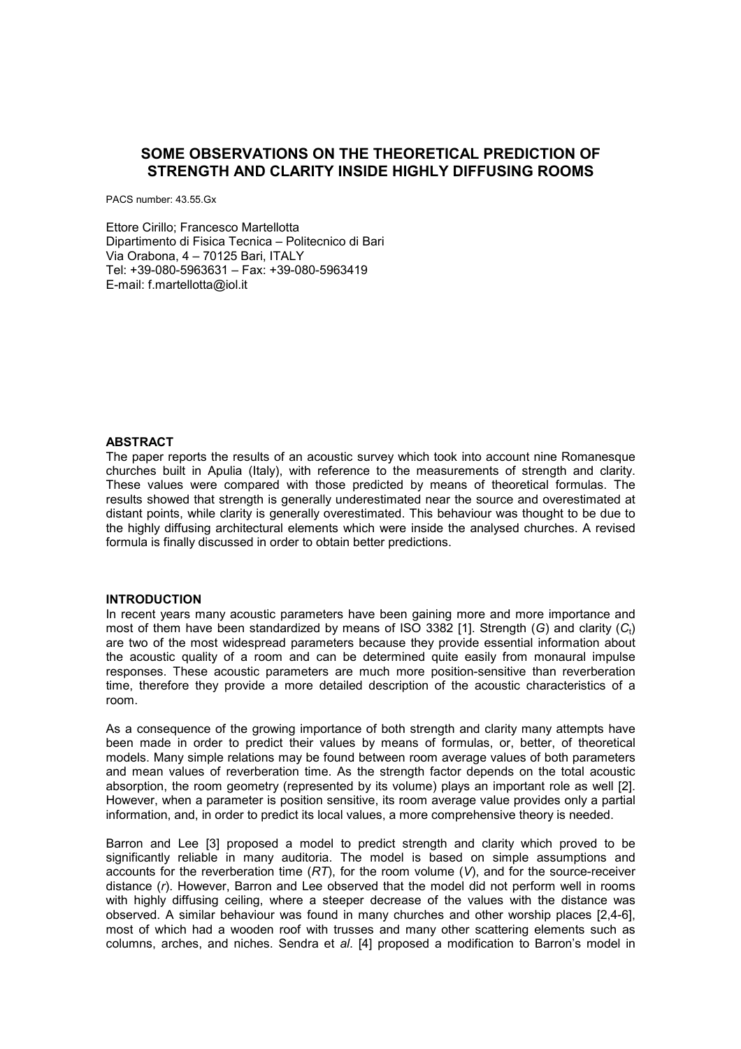# **SOME OBSERVATIONS ON THE THEORETICAL PREDICTION OF STRENGTH AND CLARITY INSIDE HIGHLY DIFFUSING ROOMS**

PACS number: 43.55.Gx

Ettore Cirillo; Francesco Martellotta Dipartimento di Fisica Tecnica – Politecnico di Bari Via Orabona, 4 – 70125 Bari, ITALY Tel: +39-080-5963631 – Fax: +39-080-5963419 E-mail: f.martellotta@iol.it

# **ABSTRACT**

The paper reports the results of an acoustic survey which took into account nine Romanesque churches built in Apulia (Italy), with reference to the measurements of strength and clarity. These values were compared with those predicted by means of theoretical formulas. The results showed that strength is generally underestimated near the source and overestimated at distant points, while clarity is generally overestimated. This behaviour was thought to be due to the highly diffusing architectural elements which were inside the analysed churches. A revised formula is finally discussed in order to obtain better predictions.

# **INTRODUCTION**

In recent years many acoustic parameters have been gaining more and more importance and most of them have been standardized by means of ISO 3382 [1]. Strength (*G*) and clarity (*C*t) are two of the most widespread parameters because they provide essential information about the acoustic quality of a room and can be determined quite easily from monaural impulse responses. These acoustic parameters are much more position-sensitive than reverberation time, therefore they provide a more detailed description of the acoustic characteristics of a room.

As a consequence of the growing importance of both strength and clarity many attempts have been made in order to predict their values by means of formulas, or, better, of theoretical models. Many simple relations may be found between room average values of both parameters and mean values of reverberation time. As the strength factor depends on the total acoustic absorption, the room geometry (represented by its volume) plays an important role as well [2]. However, when a parameter is position sensitive, its room average value provides only a partial information, and, in order to predict its local values, a more comprehensive theory is needed.

Barron and Lee [3] proposed a model to predict strength and clarity which proved to be significantly reliable in many auditoria. The model is based on simple assumptions and accounts for the reverberation time (*RT*), for the room volume (*V*), and for the source-receiver distance (*r*). However, Barron and Lee observed that the model did not perform well in rooms with highly diffusing ceiling, where a steeper decrease of the values with the distance was observed. A similar behaviour was found in many churches and other worship places [2,4-6], most of which had a wooden roof with trusses and many other scattering elements such as columns, arches, and niches. Sendra et *al*. [4] proposed a modification to Barron's model in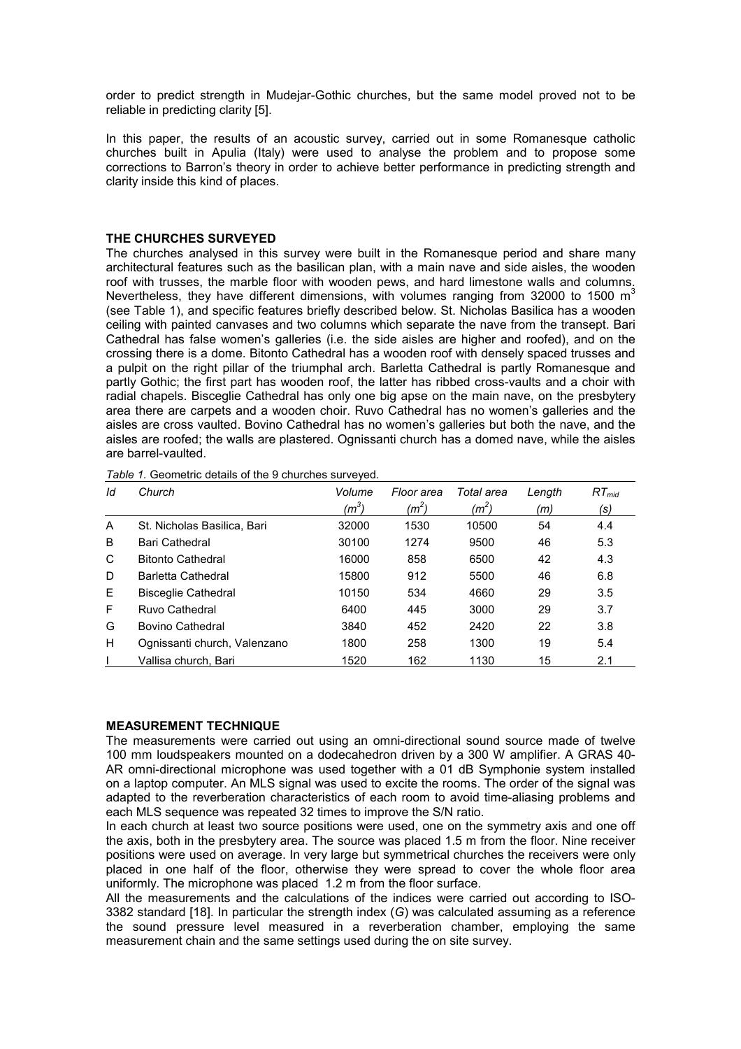order to predict strength in Mudejar-Gothic churches, but the same model proved not to be reliable in predicting clarity [5].

In this paper, the results of an acoustic survey, carried out in some Romanesque catholic churches built in Apulia (Italy) were used to analyse the problem and to propose some corrections to Barron's theory in order to achieve better performance in predicting strength and clarity inside this kind of places.

# **THE CHURCHES SURVEYED**

The churches analysed in this survey were built in the Romanesque period and share many architectural features such as the basilican plan, with a main nave and side aisles, the wooden roof with trusses, the marble floor with wooden pews, and hard limestone walls and columns. Nevertheless, they have different dimensions, with volumes ranging from 32000 to 1500  $m<sup>3</sup>$ (see Table 1), and specific features briefly described below. St. Nicholas Basilica has a wooden ceiling with painted canvases and two columns which separate the nave from the transept. Bari Cathedral has false women's galleries (i.e. the side aisles are higher and roofed), and on the crossing there is a dome. Bitonto Cathedral has a wooden roof with densely spaced trusses and a pulpit on the right pillar of the triumphal arch. Barletta Cathedral is partly Romanesque and partly Gothic; the first part has wooden roof, the latter has ribbed cross-vaults and a choir with radial chapels. Bisceglie Cathedral has only one big apse on the main nave, on the presbytery area there are carpets and a wooden choir. Ruvo Cathedral has no women's galleries and the aisles are cross vaulted. Bovino Cathedral has no women's galleries but both the nave, and the aisles are roofed; the walls are plastered. Ognissanti church has a domed nave, while the aisles are barrel-vaulted.

| ld             | Church                       | Volume<br>$(m^3)$ | Floor area<br>$(m^2)$ | Total area<br>(m <sup>2</sup> ) | Length<br>(m) | $RT_{mid}$<br>(s) |
|----------------|------------------------------|-------------------|-----------------------|---------------------------------|---------------|-------------------|
| $\overline{A}$ | St. Nicholas Basilica, Bari  | 32000             | 1530                  | 10500                           | 54            | 4.4               |
| B              | <b>Bari Cathedral</b>        | 30100             | 1274                  | 9500                            | 46            | 5.3               |
| C              | <b>Bitonto Cathedral</b>     | 16000             | 858                   | 6500                            | 42            | 4.3               |
| D              | Barletta Cathedral           | 15800             | 912                   | 5500                            | 46            | 6.8               |
| E              | <b>Bisceglie Cathedral</b>   | 10150             | 534                   | 4660                            | 29            | 3.5               |
| F              | Ruvo Cathedral               | 6400              | 445                   | 3000                            | 29            | 3.7               |
| G              | <b>Bovino Cathedral</b>      | 3840              | 452                   | 2420                            | 22            | 3.8               |
| H              | Ognissanti church, Valenzano | 1800              | 258                   | 1300                            | 19            | 5.4               |
|                | Vallisa church, Bari         | 1520              | 162                   | 1130                            | 15            | 2.1               |

*Table 1.* Geometric details of the 9 churches surveyed.

#### **MEASUREMENT TECHNIQUE**

The measurements were carried out using an omni-directional sound source made of twelve 100 mm loudspeakers mounted on a dodecahedron driven by a 300 W amplifier. A GRAS 40- AR omni-directional microphone was used together with a 01 dB Symphonie system installed on a laptop computer. An MLS signal was used to excite the rooms. The order of the signal was adapted to the reverberation characteristics of each room to avoid time-aliasing problems and each MLS sequence was repeated 32 times to improve the S/N ratio.

In each church at least two source positions were used, one on the symmetry axis and one off the axis, both in the presbytery area. The source was placed 1.5 m from the floor. Nine receiver positions were used on average. In very large but symmetrical churches the receivers were only placed in one half of the floor, otherwise they were spread to cover the whole floor area uniformly. The microphone was placed 1.2 m from the floor surface.

All the measurements and the calculations of the indices were carried out according to ISO-3382 standard [18]. In particular the strength index (*G*) was calculated assuming as a reference the sound pressure level measured in a reverberation chamber, employing the same measurement chain and the same settings used during the on site survey.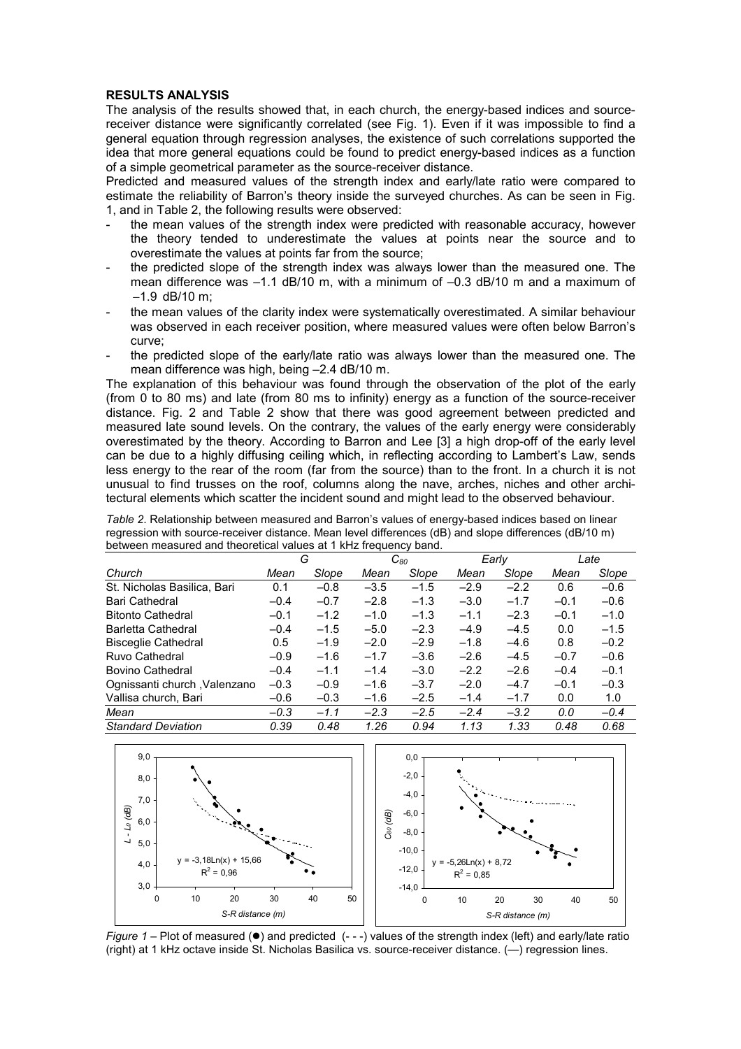#### **RESULTS ANALYSIS**

The analysis of the results showed that, in each church, the energy-based indices and sourcereceiver distance were significantly correlated (see Fig. 1). Even if it was impossible to find a general equation through regression analyses, the existence of such correlations supported the idea that more general equations could be found to predict energy-based indices as a function of a simple geometrical parameter as the source-receiver distance.

Predicted and measured values of the strength index and early/late ratio were compared to estimate the reliability of Barron's theory inside the surveyed churches. As can be seen in Fig. 1, and in Table 2, the following results were observed:

- the mean values of the strength index were predicted with reasonable accuracy, however the theory tended to underestimate the values at points near the source and to overestimate the values at points far from the source;
- the predicted slope of the strength index was always lower than the measured one. The mean difference was –1.1 dB/10 m, with a minimum of –0.3 dB/10 m and a maximum of −1.9 dB/10 m;
- the mean values of the clarity index were systematically overestimated. A similar behaviour was observed in each receiver position, where measured values were often below Barron's curve;
- the predicted slope of the early/late ratio was always lower than the measured one. The mean difference was high, being –2.4 dB/10 m.

The explanation of this behaviour was found through the observation of the plot of the early (from 0 to 80 ms) and late (from 80 ms to infinity) energy as a function of the source-receiver distance. Fig. 2 and Table 2 show that there was good agreement between predicted and measured late sound levels. On the contrary, the values of the early energy were considerably overestimated by the theory. According to Barron and Lee [3] a high drop-off of the early level can be due to a highly diffusing ceiling which, in reflecting according to Lambert's Law, sends less energy to the rear of the room (far from the source) than to the front. In a church it is not unusual to find trusses on the roof, columns along the nave, arches, niches and other architectural elements which scatter the incident sound and might lead to the observed behaviour.

*Table 2*. Relationship between measured and Barron's values of energy-based indices based on linear regression with source-receiver distance. Mean level differences (dB) and slope differences (dB/10 m) between measured and theoretical values at 1 kHz frequency band.

|                              | G      |        | $C_{80}$ |        | Early  |        | Late   |        |
|------------------------------|--------|--------|----------|--------|--------|--------|--------|--------|
| Church                       | Mean   | Slope  | Mean     | Slope  | Mean   | Slope  | Mean   | Slope  |
| St. Nicholas Basilica, Bari  | 0.1    | $-0.8$ | $-3.5$   | $-1.5$ | $-2.9$ | $-2.2$ | 0.6    | $-0.6$ |
| Bari Cathedral               | $-0.4$ | $-0.7$ | $-2.8$   | $-1.3$ | $-3.0$ | $-1.7$ | $-0.1$ | $-0.6$ |
| <b>Bitonto Cathedral</b>     | $-0.1$ | $-1.2$ | $-1.0$   | $-1.3$ | $-1.1$ | $-2.3$ | $-0.1$ | $-1.0$ |
| <b>Barletta Cathedral</b>    | $-0.4$ | $-1.5$ | $-5.0$   | $-2.3$ | $-4.9$ | $-4.5$ | 0.0    | $-1.5$ |
| <b>Bisceglie Cathedral</b>   | 0.5    | $-1.9$ | $-2.0$   | $-2.9$ | $-1.8$ | $-4.6$ | 0.8    | $-0.2$ |
| Ruvo Cathedral               | $-0.9$ | $-1.6$ | $-1.7$   | $-3.6$ | $-2.6$ | $-4.5$ | $-0.7$ | $-0.6$ |
| <b>Bovino Cathedral</b>      | $-0.4$ | $-1.1$ | $-1.4$   | $-3.0$ | $-2.2$ | $-2.6$ | $-0.4$ | $-0.1$ |
| Ognissanti church, Valenzano | $-0.3$ | $-0.9$ | $-1.6$   | $-3.7$ | $-2.0$ | $-4.7$ | $-0.1$ | $-0.3$ |
| Vallisa church, Bari         | $-0.6$ | $-0.3$ | $-1.6$   | $-2.5$ | $-1.4$ | $-1.7$ | 0.0    | 1.0    |
| Mean                         | $-0.3$ | $-1.1$ | $-2.3$   | $-2.5$ | $-2.4$ | $-3.2$ | 0.0    | $-0.4$ |
| <b>Standard Deviation</b>    | 0.39   | 0.48   | 1.26     | 0.94   | 1.13   | 1.33   | 0.48   | 0.68   |



*Figure 1* – Plot of measured ( $\bullet$ ) and predicted (---) values of the strength index (left) and early/late ratio (right) at 1 kHz octave inside St. Nicholas Basilica vs. source-receiver distance. (—) regression lines.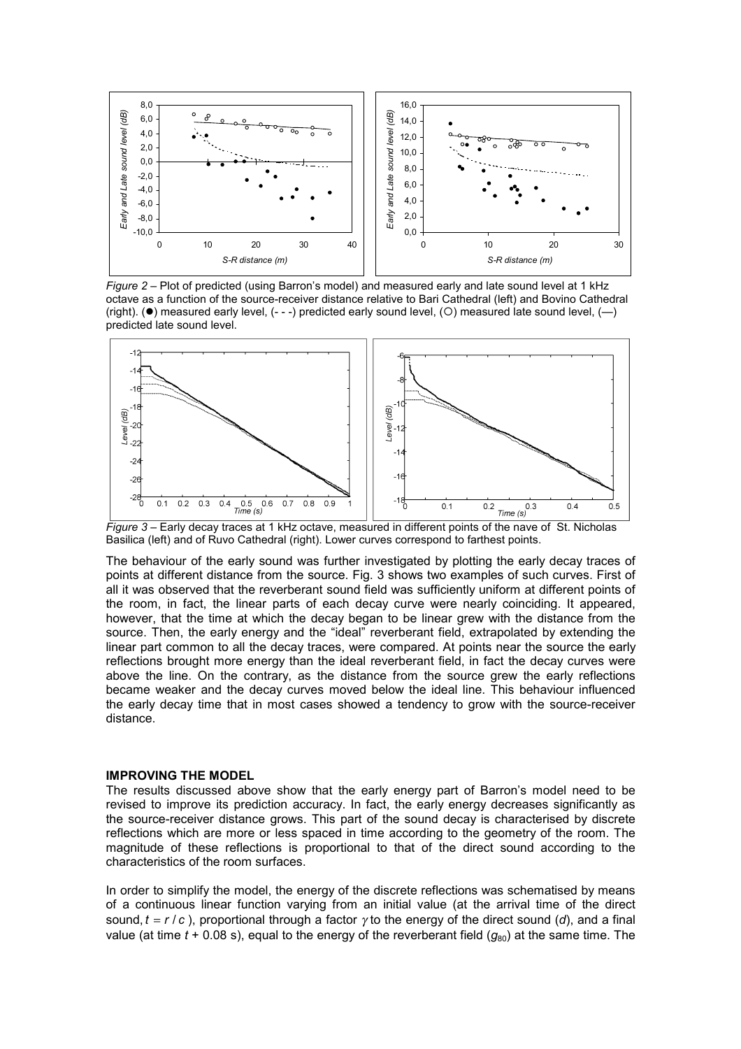

*Figure 2* – Plot of predicted (using Barron's model) and measured early and late sound level at 1 kHz octave as a function of the source-receiver distance relative to Bari Cathedral (left) and Bovino Cathedral (right). ( $\bullet$ ) measured early level, (- - -) predicted early sound level, ( $\circ$ ) measured late sound level, ( $\leftarrow$ ) predicted late sound level.



Basilica (left) and of Ruvo Cathedral (right). Lower curves correspond to farthest points.

The behaviour of the early sound was further investigated by plotting the early decay traces of points at different distance from the source. Fig. 3 shows two examples of such curves. First of all it was observed that the reverberant sound field was sufficiently uniform at different points of the room, in fact, the linear parts of each decay curve were nearly coinciding. It appeared, however, that the time at which the decay began to be linear grew with the distance from the source. Then, the early energy and the "ideal" reverberant field, extrapolated by extending the linear part common to all the decay traces, were compared. At points near the source the early reflections brought more energy than the ideal reverberant field, in fact the decay curves were above the line. On the contrary, as the distance from the source grew the early reflections became weaker and the decay curves moved below the ideal line. This behaviour influenced the early decay time that in most cases showed a tendency to grow with the source-receiver distance.

# **IMPROVING THE MODEL**

The results discussed above show that the early energy part of Barron's model need to be revised to improve its prediction accuracy. In fact, the early energy decreases significantly as the source-receiver distance grows. This part of the sound decay is characterised by discrete reflections which are more or less spaced in time according to the geometry of the room. The magnitude of these reflections is proportional to that of the direct sound according to the characteristics of the room surfaces.

In order to simplify the model, the energy of the discrete reflections was schematised by means of a continuous linear function varying from an initial value (at the arrival time of the direct sound, *t* = *r* / *c* ), proportional through a factor γ to the energy of the direct sound (*d*), and a final value (at time  $t + 0.08$  s), equal to the energy of the reverberant field ( $q_{80}$ ) at the same time. The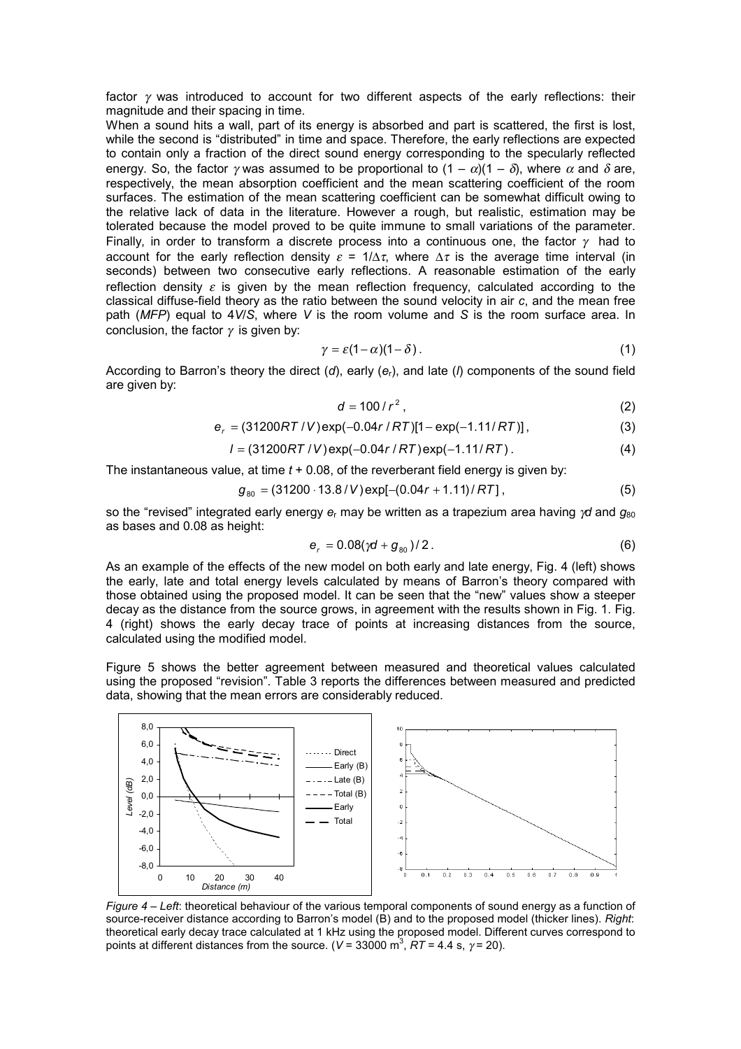factor  $\gamma$  was introduced to account for two different aspects of the early reflections: their magnitude and their spacing in time.

When a sound hits a wall, part of its energy is absorbed and part is scattered, the first is lost, while the second is "distributed" in time and space. Therefore, the early reflections are expected to contain only a fraction of the direct sound energy corresponding to the specularly reflected energy. So, the factor  $\gamma$  was assumed to be proportional to  $(1 - \alpha)(1 - \delta)$ , where  $\alpha$  and  $\delta$  are, respectively, the mean absorption coefficient and the mean scattering coefficient of the room surfaces. The estimation of the mean scattering coefficient can be somewhat difficult owing to the relative lack of data in the literature. However a rough, but realistic, estimation may be tolerated because the model proved to be quite immune to small variations of the parameter. Finally, in order to transform a discrete process into a continuous one, the factor  $\gamma$  had to account for the early reflection density  $\varepsilon = 1/\Delta \tau$ , where  $\Delta \tau$  is the average time interval (in seconds) between two consecutive early reflections. A reasonable estimation of the early reflection density  $\varepsilon$  is given by the mean reflection frequency, calculated according to the classical diffuse-field theory as the ratio between the sound velocity in air *c*, and the mean free path (*MFP*) equal to 4*V*/*S*, where *V* is the room volume and *S* is the room surface area. In conclusion, the factor  $\gamma$  is given by:

$$
\gamma = \varepsilon (1 - \alpha)(1 - \delta) \,. \tag{1}
$$

According to Barron's theory the direct (*d*), early (*e*r), and late (*l*) components of the sound field are given by:

$$
d = 100/r^2, \tag{2}
$$

$$
e_r = (31200RT/V) \exp(-0.04r/RT)[1 - \exp(-1.11/RT)], \qquad (3)
$$

$$
I = (31200RT/V) \exp(-0.04r/RT) \exp(-1.11/RT).
$$
 (4)

The instantaneous value, at time *t* + 0.08, of the reverberant field energy is given by:

$$
g_{80} = (31200 \cdot 13.8 / V) \exp[-(0.04r + 1.11) / RT], \tag{5}
$$

so the "revised" integrated early energy  $e_r$  may be written as a trapezium area having *γd* and *g*<sub>80</sub> as bases and 0.08 as height:

$$
e_r = 0.08(\gamma d + g_{80})/2.
$$
 (6)

As an example of the effects of the new model on both early and late energy, Fig. 4 (left) shows the early, late and total energy levels calculated by means of Barron's theory compared with those obtained using the proposed model. It can be seen that the "new" values show a steeper decay as the distance from the source grows, in agreement with the results shown in Fig. 1. Fig. 4 (right) shows the early decay trace of points at increasing distances from the source, calculated using the modified model.

Figure 5 shows the better agreement between measured and theoretical values calculated using the proposed "revision". Table 3 reports the differences between measured and predicted data, showing that the mean errors are considerably reduced.



 *Figure 4* – *Left*: theoretical behaviour of the various temporal components of sound energy as a function of source-receiver distance according to Barron's model (B) and to the proposed model (thicker lines). *Right*: theoretical early decay trace calculated at 1 kHz using the proposed model. Different curves correspond to points at different distances from the source. ( $V = 33000$  m<sup>3</sup>,  $RT = 4.4$  s,  $\gamma = 20$ ).